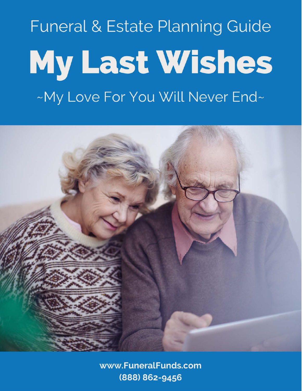# Funeral & Estate Planning Guide My Last Wishes ~My Love For You Will Never End~



www.FuneralFunds.com (888) 862-9456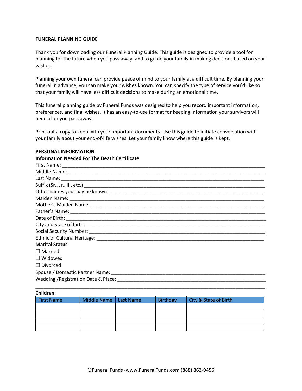#### **FUNERAL PLANNING GUIDE**

Thank you for downloading our Funeral Planning Guide. This guide is designed to provide a tool for planning for the future when you pass away, and to guide your family in making decisions based on your wishes.

Planning your own funeral can provide peace of mind to your family at a difficult time. By planning your funeral in advance, you can make your wishes known. You can specify the type of service you'd like so that your family will have less difficult decisions to make during an emotional time.

This funeral planning guide by Funeral Funds was designed to help you record important information, preferences, and final wishes. It has an easy-to-use format for keeping information your survivors will need after you pass away.

Print out a copy to keep with your important documents. Use this guide to initiate conversation with your family about your end-of-life wishes. Let your family know where this guide is kept.

| <b>Information Needed For The Death Certificate</b> |
|-----------------------------------------------------|
|                                                     |
|                                                     |
|                                                     |
|                                                     |
|                                                     |
|                                                     |
|                                                     |
|                                                     |
|                                                     |
|                                                     |
|                                                     |
|                                                     |
| <b>Marital Status</b>                               |
| $\Box$ Married                                      |
| $\Box$ Widowed                                      |
| $\Box$ Divorced                                     |
|                                                     |
|                                                     |
|                                                     |

#### **PERSONAL INFORMATION**

| Children:         |                         |          |                       |
|-------------------|-------------------------|----------|-----------------------|
| <b>First Name</b> | Middle Name   Last Name | Birthday | City & State of Birth |
|                   |                         |          |                       |
|                   |                         |          |                       |
|                   |                         |          |                       |
|                   |                         |          |                       |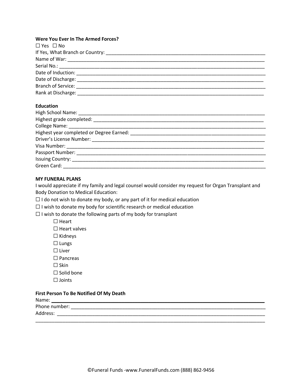### **Were You Ever In The Armed Forces?**

| $\Box$ Yes $\Box$ No                      |
|-------------------------------------------|
|                                           |
|                                           |
|                                           |
|                                           |
|                                           |
| Branch of Service: <u>_______________</u> |
| Rank at Discharge: ____________           |

#### **Education**

| High School Name: _________________                                                                                                                                                                                            |  |
|--------------------------------------------------------------------------------------------------------------------------------------------------------------------------------------------------------------------------------|--|
|                                                                                                                                                                                                                                |  |
|                                                                                                                                                                                                                                |  |
| Highest year completed or Degree Earned: National Communication of the Communication of the Communication of the Communication of the Communication of the Communication of the Communication of the Communication of the Comm |  |
|                                                                                                                                                                                                                                |  |
|                                                                                                                                                                                                                                |  |
| Passport Number: Name of Passport Number:                                                                                                                                                                                      |  |
| Issuing Country: ____________                                                                                                                                                                                                  |  |
| Green Card: ___________                                                                                                                                                                                                        |  |

# **MY FUNERAL PLANS**

I would appreciate if my family and legal counsel would consider my request for Organ Transplant and Body Donation to Medical Education:

 $\Box$  I do not wish to donate my body, or any part of it for medical education

 $\Box$  I wish to donate my body for scientific research or medical education

 $\Box$  I wish to donate the following parts of my body for transplant

☐ Heart

 $\Box$  Heart valves

- ☐ Kidneys
- ☐ Lungs
- ☐ Liver
- ☐ Pancreas
- $\square$  Skin
- ☐ Solid bone
- ☐ Joints

### **First Person To Be Notified Of My Death**

| Name:         |  |
|---------------|--|
| Phone number: |  |
| Address:      |  |

\_\_\_\_\_\_\_\_\_\_\_\_\_\_\_\_\_\_\_\_\_\_\_\_\_\_\_\_\_\_\_\_\_\_\_\_\_\_\_\_\_\_\_\_\_\_\_\_\_\_\_\_\_\_\_\_\_\_\_\_\_\_\_\_\_\_\_\_\_\_\_\_\_\_\_\_\_\_\_\_\_\_\_\_\_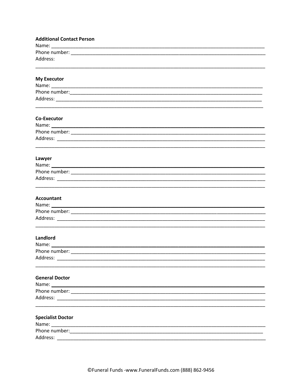| <b>Additional Contact Person</b>                                                                               |
|----------------------------------------------------------------------------------------------------------------|
|                                                                                                                |
| Address:                                                                                                       |
|                                                                                                                |
|                                                                                                                |
| <b>My Executor</b>                                                                                             |
|                                                                                                                |
|                                                                                                                |
|                                                                                                                |
|                                                                                                                |
| Co-Executor                                                                                                    |
|                                                                                                                |
|                                                                                                                |
|                                                                                                                |
|                                                                                                                |
| Lawyer                                                                                                         |
|                                                                                                                |
|                                                                                                                |
|                                                                                                                |
|                                                                                                                |
| <b>Accountant</b>                                                                                              |
|                                                                                                                |
|                                                                                                                |
|                                                                                                                |
| Landlord                                                                                                       |
| Name: 2008 2010 2020 2020 2020 2021 2021 2022 2022 2021 2022 2022 2022 2022 2022 2022 2022 2022 2022 2022 2022 |
| Phone number:                                                                                                  |
|                                                                                                                |
|                                                                                                                |
| <b>General Doctor</b>                                                                                          |
|                                                                                                                |
|                                                                                                                |
|                                                                                                                |
|                                                                                                                |
| <b>Specialist Doctor</b>                                                                                       |
|                                                                                                                |
|                                                                                                                |
| Address:                                                                                                       |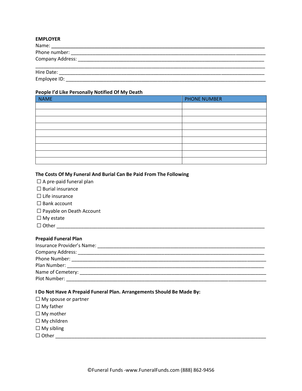# **EMPLOYER**

| Name:            |  |  |
|------------------|--|--|
| Phone number:    |  |  |
| Company Address: |  |  |
| Hire Date:       |  |  |
| Employee ID:     |  |  |

#### **People I'd Like Personally Notified Of My Death**

| . .<br><b>NAME</b> | <b>PHONE NUMBER</b> |
|--------------------|---------------------|
|                    |                     |
|                    |                     |
|                    |                     |
|                    |                     |
|                    |                     |
|                    |                     |
|                    |                     |
|                    |                     |
|                    |                     |

# **The Costs Of My Funeral And Burial Can Be Paid From The Following**

|  | $\Box$ A pre-paid funeral plan |  |  |
|--|--------------------------------|--|--|
|--|--------------------------------|--|--|

- $\Box$  Burial insurance
- $\Box$  Life insurance
- □ Bank account
- □ Payable on Death Account
- ☐ My estate
- $\Box$  Other  $\Box$

# **Prepaid Funeral Plan**

| Insurance Provider's Name: |                                                                                                                                                                                                                               |
|----------------------------|-------------------------------------------------------------------------------------------------------------------------------------------------------------------------------------------------------------------------------|
|                            |                                                                                                                                                                                                                               |
|                            | Phone Number: the contract of the contract of the contract of the contract of the contract of the contract of the contract of the contract of the contract of the contract of the contract of the contract of the contract of |
| Plan Number:               |                                                                                                                                                                                                                               |
|                            | Name of Cemetery: Name of Communications of Cemetery:                                                                                                                                                                         |
| Plot Number:               |                                                                                                                                                                                                                               |

# **I Do Not Have A Prepaid Funeral Plan. Arrangements Should Be Made By:**

- □ My spouse or partner
- ☐ My father
- □ My mother
- ☐ My children
- $\Box$  My sibling
- ☐ Other \_\_\_\_\_\_\_\_\_\_\_\_\_\_\_\_\_\_\_\_\_\_\_\_\_\_\_\_\_\_\_\_\_\_\_\_\_\_\_\_\_\_\_\_\_\_\_\_\_\_\_\_\_\_\_\_\_\_\_\_\_\_\_\_\_\_\_\_\_\_\_\_\_\_\_\_\_\_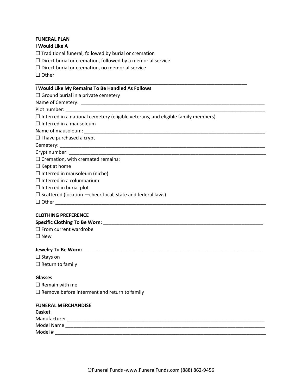# **FUNERAL PLAN**

# **I Would Like A**

 $\Box$  Traditional funeral, followed by burial or cremation

 $\Box$  Direct burial or cremation, followed by a memorial service

□ Direct burial or cremation, no memorial service

☐ Other

## **I Would Like My Remains To Be Handled As Follows**

 $\Box$  Ground burial in a private cemetery

Name of Cemetery: **Example 20** 

Plot number: \_\_\_\_\_\_\_\_\_\_\_\_\_\_\_\_\_\_\_\_\_\_\_\_\_\_\_\_\_\_\_\_\_\_\_\_\_\_\_\_\_\_\_\_\_\_\_\_\_\_\_\_\_\_\_\_\_\_\_\_\_\_\_\_\_\_\_\_\_\_\_\_\_\_

 $\Box$  Interred in a national cemetery (eligible veterans, and eligible family members)

\_\_\_\_\_\_\_\_\_\_\_\_\_\_\_\_\_\_\_\_\_\_\_\_\_\_\_\_\_\_\_\_\_\_\_\_\_\_\_\_\_\_\_\_\_\_\_\_\_\_\_\_\_\_\_\_\_\_\_\_\_\_\_\_\_\_\_\_\_\_\_\_\_\_\_\_\_\_

 $\Box$  Interred in a mausoleum

Name of mausoleum:

 $\Box$  I have purchased a crypt

Cemetery:

Crypt number:

 $\Box$  Cremation, with cremated remains:

 $\Box$  Kept at home

 $\Box$  Interred in mausoleum (niche)

 $\Box$  Interred in a columbarium

 $\Box$  Interred in burial plot

 $\Box$  Scattered (location  $-\text{check local}$ , state and federal laws)

 $\Box$  Other  $\Box$ 

#### **CLOTHING PREFERENCE**

#### Specific Clothing To Be Worn: **With the Clouding To Be Worn: With the Clouding To Be Worn: With the Clouding To Be Worn: With the Clouding To Be Worn: With the Clouding To Be Worn: With the Clouding To Be Worn:**

□ From current wardrobe

☐ New

### **Jewelry To Be Worn:** \_\_\_\_\_\_\_\_\_\_\_\_\_\_\_\_\_\_\_\_\_\_\_\_\_\_\_\_\_\_\_\_\_\_\_\_\_\_\_\_\_\_\_\_\_\_\_\_\_\_\_\_\_\_\_\_\_\_\_\_\_\_\_\_\_\_

☐ Stays on  $\Box$  Return to family

# **Glasses**

 $\Box$  Remain with me  $\Box$  Remove before interment and return to family

| <b>FUNERAL MERCHANDISE</b> |  |
|----------------------------|--|
| <b>Casket</b>              |  |
| Manufacturer               |  |
| Model Name                 |  |
| Model #                    |  |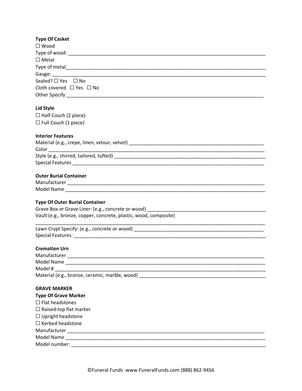| <b>Type Of Casket</b>                                                                                                                                                                                                          |
|--------------------------------------------------------------------------------------------------------------------------------------------------------------------------------------------------------------------------------|
| $\square$ Wood                                                                                                                                                                                                                 |
|                                                                                                                                                                                                                                |
| $\Box$ Metal                                                                                                                                                                                                                   |
|                                                                                                                                                                                                                                |
| Gauge: etc. and a strategies of the strategies of the strategies of the strategies of the strategies of the strategies of the strategies of the strategies of the strategies of the strategies of the strategies of the strate |
| Sealed? $\square$ Yes $\square$ No                                                                                                                                                                                             |
| Cloth covered $\Box$ Yes $\Box$ No                                                                                                                                                                                             |
|                                                                                                                                                                                                                                |
| Lid Style                                                                                                                                                                                                                      |
| $\Box$ Half Couch (2 piece)                                                                                                                                                                                                    |
| $\Box$ Full Couch (1 piece)                                                                                                                                                                                                    |
| <b>Interior Features</b>                                                                                                                                                                                                       |
|                                                                                                                                                                                                                                |
|                                                                                                                                                                                                                                |
|                                                                                                                                                                                                                                |
|                                                                                                                                                                                                                                |
| <b>Outer Burial Container</b>                                                                                                                                                                                                  |
|                                                                                                                                                                                                                                |
|                                                                                                                                                                                                                                |
| <b>Type Of Outer Burial Container</b>                                                                                                                                                                                          |
|                                                                                                                                                                                                                                |
| Vault (e.g., bronze, copper, concrete, plastic, wood, composite)                                                                                                                                                               |
|                                                                                                                                                                                                                                |
|                                                                                                                                                                                                                                |
| <b>Cremation Urn</b>                                                                                                                                                                                                           |
|                                                                                                                                                                                                                                |
|                                                                                                                                                                                                                                |
| Model #                                                                                                                                                                                                                        |
|                                                                                                                                                                                                                                |
| <b>GRAVE MARKER</b>                                                                                                                                                                                                            |
| <b>Type Of Grave Marker</b>                                                                                                                                                                                                    |
| $\Box$ Flat headstones                                                                                                                                                                                                         |
| $\Box$ Raised-top flat marker                                                                                                                                                                                                  |
| $\Box$ Upright headstone                                                                                                                                                                                                       |
| $\Box$ Kerbed headstone                                                                                                                                                                                                        |
|                                                                                                                                                                                                                                |
|                                                                                                                                                                                                                                |
|                                                                                                                                                                                                                                |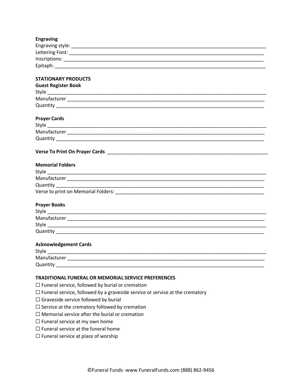| <b>Engraving</b> |  |
|------------------|--|
| Engraving style: |  |
| Lettering Font:  |  |
| Inscriptions:    |  |
| Epitaph:         |  |

# **STATIONARY PRODUCTS**

| <b>Guest Register Book</b> |  |
|----------------------------|--|
| Style                      |  |
| Manufacturer               |  |
| Quantity                   |  |
|                            |  |

# **Prayer Cards**

| Style        |  |
|--------------|--|
| Manufacturer |  |
| Quantity     |  |

# **Verse To Print On Prayer Cards** \_\_\_\_\_\_\_\_\_\_\_\_\_\_\_\_\_\_\_\_\_\_\_\_\_\_\_\_\_\_\_\_\_\_\_\_\_\_\_\_\_\_\_\_\_\_\_\_\_\_\_\_\_\_\_\_\_\_\_

| <b>Memorial Folders</b>             |  |
|-------------------------------------|--|
| Style                               |  |
| Manufacturer                        |  |
| Quantity                            |  |
| Verse to print on Memorial Folders: |  |

#### **Prayer Books**

| Style        |  |
|--------------|--|
| Manufacturer |  |
| Style        |  |
| Quantity     |  |

# **Acknowledgement Cards**

| Style        |  |
|--------------|--|
| Manufacturer |  |
| Quantity     |  |

# **TRADITIONAL FUNERAL OR MEMORIAL SERVICE PREFERENCES**

 $\Box$  Funeral service, followed by burial or cremation

- $\Box$  Funeral service, followed by a graveside service or service at the crematory
- $\Box$  Graveside service followed by burial
- $\Box$  Service at the crematory followed by cremation
- $\Box$  Memorial service after the burial or cremation
- $\Box$  Funeral service at my own home
- $\Box$  Funeral service at the funeral home
- $\Box$  Funeral service at place of worship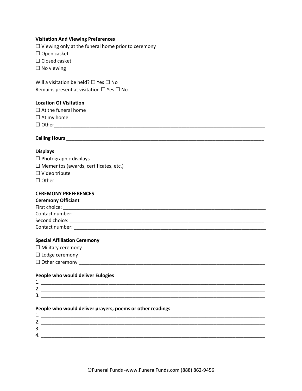#### **Visitation And Viewing Preferences**

 $\Box$  Viewing only at the funeral home prior to ceremony

☐ Open casket

☐ Closed casket

 $\square$  No viewing

Will a visitation be held? □ Yes □ No Remains present at visitation ☐ Yes ☐ No

#### **Location Of Visitation**

|  |  |  | $\Box$ At the funeral home |  |
|--|--|--|----------------------------|--|
|--|--|--|----------------------------|--|

 $\Box$  At my home

☐ Other\_\_\_\_\_\_\_\_\_\_\_\_\_\_\_\_\_\_\_\_\_\_\_\_\_\_\_\_\_\_\_\_\_\_\_\_\_\_\_\_\_\_\_\_\_\_\_\_\_\_\_\_\_\_\_\_\_\_\_\_\_\_\_\_\_\_\_\_\_\_\_\_\_\_\_\_\_\_

# **Calling Hours** \_\_\_\_\_\_\_\_\_\_\_\_\_\_\_\_\_\_\_\_\_\_\_\_\_\_\_\_\_\_\_\_\_\_\_\_\_\_\_\_\_\_\_\_\_\_\_\_\_\_\_\_\_\_\_\_\_\_\_\_\_\_\_\_\_\_\_\_\_\_\_\_\_

#### **Displays**

| $\Box$ Photographic displays |  |
|------------------------------|--|
|------------------------------|--|

 $\Box$  Mementos (awards, certificates, etc.)

☐ Video tribute

☐ Other \_\_\_\_\_\_\_\_\_\_\_\_\_\_\_\_\_\_\_\_\_\_\_\_\_\_\_\_\_\_\_\_\_\_\_\_\_\_\_\_\_\_\_\_\_\_\_\_\_\_\_\_\_\_\_\_\_\_\_\_\_\_\_\_\_\_\_\_\_\_\_\_\_\_\_\_\_\_

# **CEREMONY PREFERENCES**

#### **Ceremony Officiant**

| First choice:   |  |
|-----------------|--|
| Contact number: |  |
| Second choice:  |  |
| Contact number: |  |

# **Special Affiliation Ceremony**

☐ Military ceremony

☐ Lodge ceremony

☐ Other ceremony \_\_\_\_\_\_\_\_\_\_\_\_\_\_\_\_\_\_\_\_\_\_\_\_\_\_\_\_\_\_\_\_\_\_\_\_\_\_\_\_\_\_\_\_\_\_\_\_\_\_\_\_\_\_\_\_\_\_\_\_\_\_\_\_\_\_\_\_\_

# **People who would deliver Eulogies**

| .      |  |
|--------|--|
| -<br>- |  |
| ∽      |  |

#### **People who would deliver prayers, poems or other readings**

| ∽<br><u>.</u> |  |
|---------------|--|
| ∽<br>≺<br>. ب |  |
| 4             |  |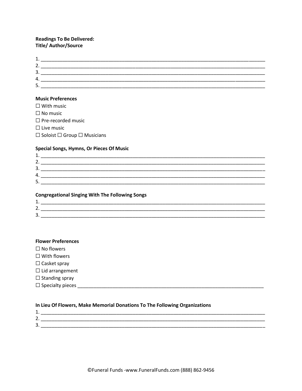# **Readings To Be Delivered: Title/ Author/Source**

| <u>. .</u>    |  |
|---------------|--|
| <u>.</u>      |  |
| ∽<br><u>.</u> |  |
| 4.            |  |
| ∽<br>، ب      |  |

# **Music Preferences**

| $\Box$ With music                            |
|----------------------------------------------|
| $\Box$ No music                              |
| $\Box$ Pre-recorded music                    |
| $\Box$ Live music                            |
| $\Box$ Soloist $\Box$ Group $\Box$ Musicians |

#### **Special Songs, Hymns, Or Pieces Of Music**

| ∽<br><u>.</u>                    |  |
|----------------------------------|--|
| ◠<br>≺<br>.ر                     |  |
| 4.                               |  |
| -<br>$\ddot{\phantom{1}}$<br>. ب |  |
|                                  |  |

#### **Congregational Singing With The Following Songs**

| -<br>. . |    |
|----------|----|
| ັ        | __ |

#### **Flower Preferences**

 $\Box$  No flowers

 $\square$  With flowers

 $\Box$  Casket spray

 $\Box$ <br> <br> Lid arrangement

 $\Box$  Standing spray

# In Lieu Of Flowers, Make Memorial Donations To The Following Organizations

|                                    | _____              |
|------------------------------------|--------------------|
| ∽<br>$\sim$                        |                    |
| $\overline{\phantom{0}}$<br>۰<br>ັ | ________<br>______ |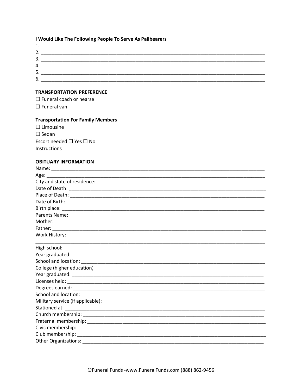# I Would Like The Following People To Serve As Pallbearers

| л<br><b>.</b> |  |
|---------------|--|
| 2.            |  |
| 3.            |  |
| 4.            |  |
| 5.            |  |
| 6.            |  |

# **TRANSPORTATION PREFERENCE**

 $\Box$  Funeral coach or hearse  $\Box$  Funeral van

# **Transportation For Family Members**

 $\Box$  Limousine  $\square$  Sedan Escort needed □ Yes □ No 

### **OBITUARY INFORMATION**

| Age: 2008 2008 2010 2021 2022 2023 2024 2022 2022 2023 2024 2022 2023 2024 2022 2023 2024 2022 2023 2024 2022  |  |
|----------------------------------------------------------------------------------------------------------------|--|
| City and state of residence: entertainment and all the control of the control of the control of the control of |  |
|                                                                                                                |  |
|                                                                                                                |  |
|                                                                                                                |  |
|                                                                                                                |  |
| Parents Name:                                                                                                  |  |
|                                                                                                                |  |
|                                                                                                                |  |
| Work History:                                                                                                  |  |
| High school:                                                                                                   |  |
|                                                                                                                |  |
|                                                                                                                |  |
| College (higher education)                                                                                     |  |
|                                                                                                                |  |
|                                                                                                                |  |
|                                                                                                                |  |
|                                                                                                                |  |
| Military service (if applicable):                                                                              |  |
|                                                                                                                |  |
|                                                                                                                |  |
|                                                                                                                |  |
|                                                                                                                |  |
|                                                                                                                |  |
| <b>Other Organizations:</b>                                                                                    |  |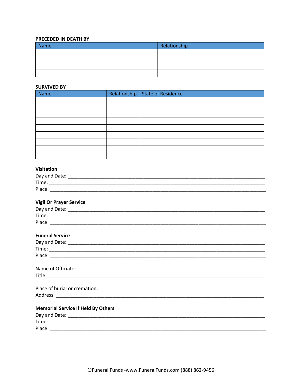# PRECEDED IN DEATH BY

| Name | Relationship |
|------|--------------|
|      |              |
|      |              |
|      |              |
|      |              |

#### **SURVIVED BY**

| Name | Relationship   State of Residence |
|------|-----------------------------------|
|      |                                   |
|      |                                   |
|      |                                   |
|      |                                   |
|      |                                   |
|      |                                   |
|      |                                   |
|      |                                   |
|      |                                   |

# Visitation

| Day and Date: |  |
|---------------|--|
| Time:         |  |
| Place:        |  |

# **Vigil Or Prayer Service**

| <b>Funeral Service</b>                    |  |
|-------------------------------------------|--|
|                                           |  |
|                                           |  |
|                                           |  |
|                                           |  |
|                                           |  |
|                                           |  |
|                                           |  |
| <b>Memorial Service If Held By Others</b> |  |
|                                           |  |
|                                           |  |
| Place:                                    |  |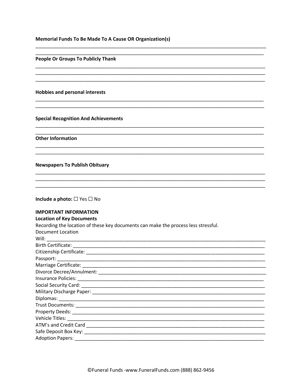### **Memorial Funds To Be Made To A Cause OR Organization(s)**

#### **People Or Groups To Publicly Thank**

**Hobbies and personal interests** 

#### **Special Recognition And Achievements**

**Other Information** 

#### **Newspapers To Publish Obituary**

| Include a photo: $\square$ Yes $\square$ No |  |  |  |  |
|---------------------------------------------|--|--|--|--|
|---------------------------------------------|--|--|--|--|

# **IMPORTANT INFORMATION**

#### **Location of Key Documents** Recording the location of these key documents can make the process less stressful. **Document Location** Will: Birth Certificate: Citizenship Certificate: Law and the contract of the contract of the contract of the contract of the contract of the contract of the contract of the contract of the contract of the contract of the contract of the contract Passport: Marriage Certificate: National Accounts and Accounts and Accounts and Accounts and Accounts and Accounts and Accounts and Accounts and Accounts and Accounts and Accounts and Accounts and Accounts and Accounts and Accounts Divorce Decree/Annulment: Note that the state of the state of the state of the state of the state of the state of the state of the state of the state of the state of the state of the state of the state of the state of the Insurance Policies: Social Security Card: Diplomas: Vehicle Titles: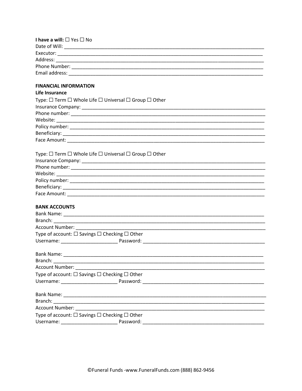| I have a will: □ Yes □ No                                                                                                                                                                                                      |  |
|--------------------------------------------------------------------------------------------------------------------------------------------------------------------------------------------------------------------------------|--|
|                                                                                                                                                                                                                                |  |
|                                                                                                                                                                                                                                |  |
|                                                                                                                                                                                                                                |  |
|                                                                                                                                                                                                                                |  |
|                                                                                                                                                                                                                                |  |
|                                                                                                                                                                                                                                |  |
| <b>FINANCIAL INFORMATION</b>                                                                                                                                                                                                   |  |
| Life Insurance                                                                                                                                                                                                                 |  |
| Type: $\Box$ Term $\Box$ Whole Life $\Box$ Universal $\Box$ Group $\Box$ Other                                                                                                                                                 |  |
|                                                                                                                                                                                                                                |  |
|                                                                                                                                                                                                                                |  |
|                                                                                                                                                                                                                                |  |
|                                                                                                                                                                                                                                |  |
|                                                                                                                                                                                                                                |  |
|                                                                                                                                                                                                                                |  |
|                                                                                                                                                                                                                                |  |
| Type: $\square$ Term $\square$ Whole Life $\square$ Universal $\square$ Group $\square$ Other                                                                                                                                  |  |
|                                                                                                                                                                                                                                |  |
|                                                                                                                                                                                                                                |  |
|                                                                                                                                                                                                                                |  |
|                                                                                                                                                                                                                                |  |
|                                                                                                                                                                                                                                |  |
|                                                                                                                                                                                                                                |  |
|                                                                                                                                                                                                                                |  |
| <b>BANK ACCOUNTS</b>                                                                                                                                                                                                           |  |
|                                                                                                                                                                                                                                |  |
|                                                                                                                                                                                                                                |  |
| Account Number:                                                                                                                                                                                                                |  |
| Type of account: $\square$ Savings $\square$ Checking $\square$ Other                                                                                                                                                          |  |
|                                                                                                                                                                                                                                |  |
|                                                                                                                                                                                                                                |  |
|                                                                                                                                                                                                                                |  |
| Branch:                                                                                                                                                                                                                        |  |
| Account Number: National Property of the County of the County of the County of the County of the County of the                                                                                                                 |  |
| Type of account: $\Box$ Savings $\Box$ Checking $\Box$ Other                                                                                                                                                                   |  |
|                                                                                                                                                                                                                                |  |
|                                                                                                                                                                                                                                |  |
|                                                                                                                                                                                                                                |  |
|                                                                                                                                                                                                                                |  |
| Account Number: National Account of the Contract of the Contract of the Contract of the Contract of the Contract of the Contract of the Contract of the Contract of the Contract of the Contract of the Contract of the Contra |  |
| Type of account: □ Savings □ Checking □ Other                                                                                                                                                                                  |  |
| Password:                                                                                                                                                                                                                      |  |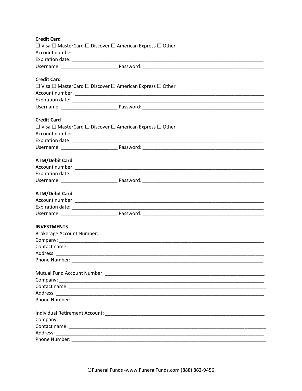| <b>Credit Card</b>    |                                                                                                                                                                                                                                     |  |
|-----------------------|-------------------------------------------------------------------------------------------------------------------------------------------------------------------------------------------------------------------------------------|--|
|                       | $\Box$ Visa $\Box$ MasterCard $\Box$ Discover $\Box$ American Express $\Box$ Other                                                                                                                                                  |  |
|                       |                                                                                                                                                                                                                                     |  |
|                       |                                                                                                                                                                                                                                     |  |
|                       |                                                                                                                                                                                                                                     |  |
| <b>Credit Card</b>    |                                                                                                                                                                                                                                     |  |
|                       | $\Box$ Visa $\Box$ MasterCard $\Box$ Discover $\Box$ American Express $\Box$ Other                                                                                                                                                  |  |
|                       |                                                                                                                                                                                                                                     |  |
|                       |                                                                                                                                                                                                                                     |  |
|                       |                                                                                                                                                                                                                                     |  |
| <b>Credit Card</b>    |                                                                                                                                                                                                                                     |  |
|                       | $\Box$ Visa $\Box$ MasterCard $\Box$ Discover $\Box$ American Express $\Box$ Other                                                                                                                                                  |  |
|                       |                                                                                                                                                                                                                                     |  |
|                       |                                                                                                                                                                                                                                     |  |
|                       |                                                                                                                                                                                                                                     |  |
|                       |                                                                                                                                                                                                                                     |  |
| <b>ATM/Debit Card</b> |                                                                                                                                                                                                                                     |  |
|                       |                                                                                                                                                                                                                                     |  |
|                       |                                                                                                                                                                                                                                     |  |
|                       |                                                                                                                                                                                                                                     |  |
| <b>ATM/Debit Card</b> |                                                                                                                                                                                                                                     |  |
|                       |                                                                                                                                                                                                                                     |  |
|                       |                                                                                                                                                                                                                                     |  |
|                       |                                                                                                                                                                                                                                     |  |
| <b>INVESTMENTS</b>    |                                                                                                                                                                                                                                     |  |
|                       |                                                                                                                                                                                                                                     |  |
|                       |                                                                                                                                                                                                                                     |  |
|                       |                                                                                                                                                                                                                                     |  |
|                       |                                                                                                                                                                                                                                     |  |
|                       | Phone Number: National Accounts and Accounts and Accounts and Accounts and Accounts and Accounts and Accounts and Accounts and Accounts and Accounts and Accounts and Accounts and Accounts and Accounts and Accounts and Acco      |  |
|                       |                                                                                                                                                                                                                                     |  |
|                       |                                                                                                                                                                                                                                     |  |
|                       |                                                                                                                                                                                                                                     |  |
|                       |                                                                                                                                                                                                                                     |  |
|                       |                                                                                                                                                                                                                                     |  |
|                       |                                                                                                                                                                                                                                     |  |
|                       |                                                                                                                                                                                                                                     |  |
|                       |                                                                                                                                                                                                                                     |  |
|                       |                                                                                                                                                                                                                                     |  |
|                       | <b>Phone Number:</b> The contract of the contract of the contract of the contract of the contract of the contract of the contract of the contract of the contract of the contract of the contract of the contract of the contract o |  |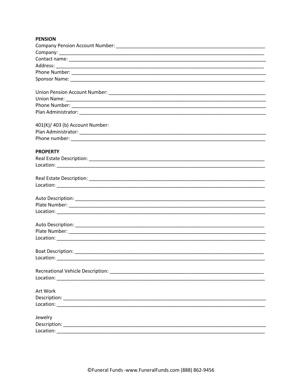# **PENSION**

| 401(K)/ 403 (b) Account Number:<br><b>PROPERTY</b><br>$\begin{picture}(150,10) \put(0,0){\vector(1,0){100}} \put(15,0){\vector(1,0){100}} \put(15,0){\vector(1,0){100}} \put(15,0){\vector(1,0){100}} \put(15,0){\vector(1,0){100}} \put(15,0){\vector(1,0){100}} \put(15,0){\vector(1,0){100}} \put(15,0){\vector(1,0){100}} \put(15,0){\vector(1,0){100}} \put(15,0){\vector(1,0){100}} \put(15,0){\vector(1,0){100}}$<br>Art Work<br>Jewelry |  |
|-------------------------------------------------------------------------------------------------------------------------------------------------------------------------------------------------------------------------------------------------------------------------------------------------------------------------------------------------------------------------------------------------------------------------------------------------|--|
|                                                                                                                                                                                                                                                                                                                                                                                                                                                 |  |
|                                                                                                                                                                                                                                                                                                                                                                                                                                                 |  |
|                                                                                                                                                                                                                                                                                                                                                                                                                                                 |  |
|                                                                                                                                                                                                                                                                                                                                                                                                                                                 |  |
|                                                                                                                                                                                                                                                                                                                                                                                                                                                 |  |
|                                                                                                                                                                                                                                                                                                                                                                                                                                                 |  |
|                                                                                                                                                                                                                                                                                                                                                                                                                                                 |  |
|                                                                                                                                                                                                                                                                                                                                                                                                                                                 |  |
|                                                                                                                                                                                                                                                                                                                                                                                                                                                 |  |
|                                                                                                                                                                                                                                                                                                                                                                                                                                                 |  |
|                                                                                                                                                                                                                                                                                                                                                                                                                                                 |  |
|                                                                                                                                                                                                                                                                                                                                                                                                                                                 |  |
|                                                                                                                                                                                                                                                                                                                                                                                                                                                 |  |
|                                                                                                                                                                                                                                                                                                                                                                                                                                                 |  |
|                                                                                                                                                                                                                                                                                                                                                                                                                                                 |  |
|                                                                                                                                                                                                                                                                                                                                                                                                                                                 |  |
|                                                                                                                                                                                                                                                                                                                                                                                                                                                 |  |
|                                                                                                                                                                                                                                                                                                                                                                                                                                                 |  |
|                                                                                                                                                                                                                                                                                                                                                                                                                                                 |  |
|                                                                                                                                                                                                                                                                                                                                                                                                                                                 |  |
|                                                                                                                                                                                                                                                                                                                                                                                                                                                 |  |
|                                                                                                                                                                                                                                                                                                                                                                                                                                                 |  |
|                                                                                                                                                                                                                                                                                                                                                                                                                                                 |  |
|                                                                                                                                                                                                                                                                                                                                                                                                                                                 |  |
|                                                                                                                                                                                                                                                                                                                                                                                                                                                 |  |
|                                                                                                                                                                                                                                                                                                                                                                                                                                                 |  |
|                                                                                                                                                                                                                                                                                                                                                                                                                                                 |  |
|                                                                                                                                                                                                                                                                                                                                                                                                                                                 |  |
|                                                                                                                                                                                                                                                                                                                                                                                                                                                 |  |
|                                                                                                                                                                                                                                                                                                                                                                                                                                                 |  |
|                                                                                                                                                                                                                                                                                                                                                                                                                                                 |  |
|                                                                                                                                                                                                                                                                                                                                                                                                                                                 |  |
|                                                                                                                                                                                                                                                                                                                                                                                                                                                 |  |
|                                                                                                                                                                                                                                                                                                                                                                                                                                                 |  |
|                                                                                                                                                                                                                                                                                                                                                                                                                                                 |  |
|                                                                                                                                                                                                                                                                                                                                                                                                                                                 |  |
|                                                                                                                                                                                                                                                                                                                                                                                                                                                 |  |
|                                                                                                                                                                                                                                                                                                                                                                                                                                                 |  |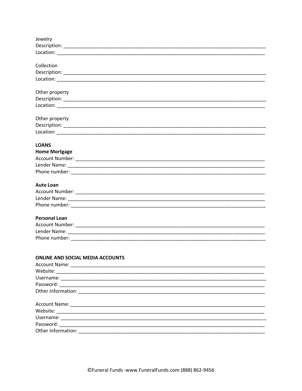| Jewelry                                                                                                                                                                                                                       |
|-------------------------------------------------------------------------------------------------------------------------------------------------------------------------------------------------------------------------------|
|                                                                                                                                                                                                                               |
|                                                                                                                                                                                                                               |
|                                                                                                                                                                                                                               |
| Collection                                                                                                                                                                                                                    |
|                                                                                                                                                                                                                               |
|                                                                                                                                                                                                                               |
| Other property                                                                                                                                                                                                                |
|                                                                                                                                                                                                                               |
| Location: New York Processes and the Contract of the Contract of the Contract of the Contract of the Contract of the Contract of the Contract of the Contract of the Contract of the Contract of the Contract of the Contract |
|                                                                                                                                                                                                                               |
| Other property                                                                                                                                                                                                                |
|                                                                                                                                                                                                                               |
|                                                                                                                                                                                                                               |
| <b>LOANS</b>                                                                                                                                                                                                                  |
| <b>Home Mortgage</b>                                                                                                                                                                                                          |
|                                                                                                                                                                                                                               |
|                                                                                                                                                                                                                               |
|                                                                                                                                                                                                                               |
|                                                                                                                                                                                                                               |
| <b>Auto Loan</b>                                                                                                                                                                                                              |
|                                                                                                                                                                                                                               |
|                                                                                                                                                                                                                               |
|                                                                                                                                                                                                                               |
|                                                                                                                                                                                                                               |
| <b>Personal Loan</b>                                                                                                                                                                                                          |
|                                                                                                                                                                                                                               |
|                                                                                                                                                                                                                               |
|                                                                                                                                                                                                                               |
|                                                                                                                                                                                                                               |
| <b>ONLINE AND SOCIAL MEDIA ACCOUNTS</b>                                                                                                                                                                                       |
|                                                                                                                                                                                                                               |
|                                                                                                                                                                                                                               |
|                                                                                                                                                                                                                               |
|                                                                                                                                                                                                                               |
|                                                                                                                                                                                                                               |
|                                                                                                                                                                                                                               |
|                                                                                                                                                                                                                               |
|                                                                                                                                                                                                                               |
|                                                                                                                                                                                                                               |
|                                                                                                                                                                                                                               |
| Other Information:                                                                                                                                                                                                            |